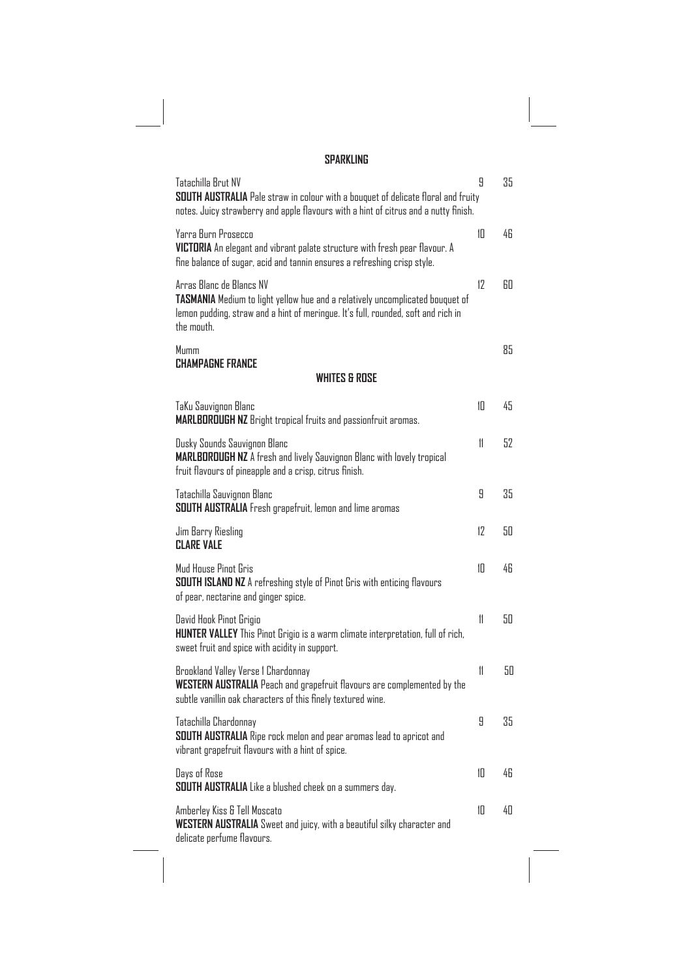## **SPARKLING**

| Tatachilla Brut NV<br>SOUTH AUSTRALIA Pale straw in colour with a bouquet of delicate floral and fruity<br>notes. Juicy strawberry and apple flavours with a hint of citrus and a nutty finish.              | 9  | 35 |
|--------------------------------------------------------------------------------------------------------------------------------------------------------------------------------------------------------------|----|----|
| Yarra Burn Prosecco<br>VICTORIA An elegant and vibrant palate structure with fresh pear flavour. A<br>fine balance of sugar, acid and tannin ensures a refreshing crisp style.                               | 10 | 46 |
| Arras Blanc de Blancs NV<br>TASMANIA Medium to light yellow hue and a relatively uncomplicated bouquet of<br>lemon pudding, straw and a hint of meringue. It's full, rounded, soft and rich in<br>the mouth. | 12 | 60 |
| Mumm                                                                                                                                                                                                         |    | 85 |
| <b>CHAMPAGNE FRANCE</b><br><b>WHITES &amp; ROSE</b>                                                                                                                                                          |    |    |
| TaKu Sauvignon Blanc<br><b>MARLBOROUGH NZ</b> Bright tropical fruits and passionfruit aromas.                                                                                                                | 10 | 45 |
| Dusky Sounds Sauvignon Blanc<br>MARLBOROUGH NZ A fresh and lively Sauvignon Blanc with lovely tropical<br>fruit flavours of pineapple and a crisp, citrus finish.                                            | 11 | 52 |
| Tatachilla Sauvignon Blanc<br>SOUTH AUSTRALIA Fresh grapefruit, lemon and lime aromas                                                                                                                        | 9  | 35 |
| Jim Barry Riesling<br><b>CLARE VALE</b>                                                                                                                                                                      | 17 | 50 |
| Mud House Pinot Gris<br><b>SOUTH ISLAND NZ</b> A refreshing style of Pinot Gris with enticing flavours<br>of pear, nectarine and ginger spice.                                                               | 1П | 46 |
| David Hook Pinot Grigio<br>HUNTER VALLEY This Pinot Grigio is a warm climate interpretation, full of rich,<br>sweet fruit and spice with acidity in support.                                                 | 11 | 50 |
| Brookland Valley Verse 1 Chardonnay<br>WESTERN AUSTRALIA Peach and grapefruit flavours are complemented by the<br>subtle vanillin oak characters of this finely textured wine.                               | 11 | 50 |
| Tatachilla Chardonnay<br>SOUTH AUSTRALIA Ripe rock melon and pear aromas lead to apricot and<br>vibrant grapefruit flavours with a hint of spice.                                                            | 9  | 35 |
| Days of Rose<br>SOUTH AUSTRALIA Like a blushed cheek on a summers day.                                                                                                                                       | 10 | 46 |
| Amberley Kiss & Tell Moscato<br><b>WESTERN AUSTRALIA</b> Sweet and juicy, with a beautiful silky character and<br>delicate perfume flavours.                                                                 | 10 | 40 |